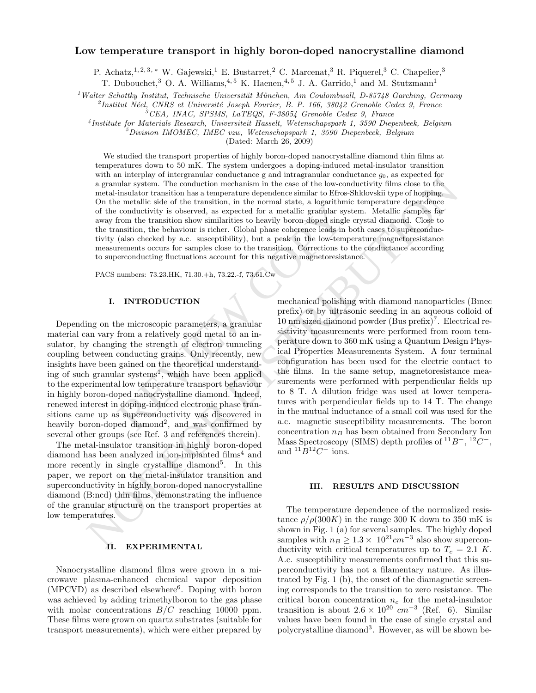## Low temperature transport in highly boron-doped nanocrystalline diamond

P. Achatz,<sup>1, 2, 3,</sup> \* W. Gajewski,<sup>1</sup> E. Bustarret,<sup>2</sup> C. Marcenat,<sup>3</sup> R. Piquerel,<sup>3</sup> C. Chapelier,<sup>3</sup> T. Dubouchet,<sup>3</sup> O. A. Williams,<sup>4,5</sup> K. Haenen,<sup>4,5</sup> J. A. Garrido,<sup>1</sup> and M. Stutzmann<sup>1</sup>

 $1$  Walter Schottky Institut, Technische Universität München, Am Coulombwall, D-85748 Garching, Germany

 $^{2}$ Institut Néel, CNRS et Université Joseph Fourier, B. P. 166, 38042 Grenoble Cedex 9, France

<sup>3</sup>CEA, INAC, SPSMS, LaTEQS, F-38054 Grenoble Cedex 9, France

4 Institute for Materials Research, Universiteit Hasselt, Wetenschapspark 1, 3590 Diepenbeek, Belgium <sup>5</sup>Division IMOMEC, IMEC vzw, Wetenschapspark 1, 3590 Diepenbeek, Belgium

(Dated: March 26, 2009)

We studied the transport properties of highly boron-doped nanocrystalline diamond thin films at temperatures down to 50 mK. The system undergoes a doping-induced metal-insulator transition with an interplay of intergranular conductance g and intragranular conductance  $g_0$ , as expected for a granular system. The conduction mechanism in the case of the low-conductivity films close to the metal-insulator transition has a temperature dependence similar to Efros-Shklovskii type of hopping. On the metallic side of the transition, in the normal state, a logarithmic temperature dependence of the conductivity is observed, as expected for a metallic granular system. Metallic samples far away from the transition show similarities to heavily boron-doped single crystal diamond. Close to the transition, the behaviour is richer. Global phase coherence leads in both cases to superconductivity (also checked by a.c. susceptibility), but a peak in the low-temperature magnetoresistance measurements occurs for samples close to the transition. Corrections to the conductance according to superconducting fluctuations account for this negative magnetoresistance.

PACS numbers: 73.23.HK, 71.30.+h, 73.22.-f, 73.61.Cw

### I. INTRODUCTION

Depending on the microscopic parameters, a granular material can vary from a relatively good metal to an insulator, by changing the strength of electron tunneling coupling between conducting grains. Only recently, new insights have been gained on the theoretical understanding of such granular systems<sup>1</sup>, which have been applied to the experimental low temperature transport behaviour in highly boron-doped nanocrystalline diamond. Indeed, renewed interest in doping-induced electronic phase transitions came up as superconductivity was discovered in heavily boron-doped diamond<sup>2</sup>, and was confirmed by several other groups (see Ref. 3 and references therein).

The metal-insulator transition in highly boron-doped diamond has been analyzed in ion-implanted films <sup>4</sup> and more recently in single crystalline diamond 5 . In this paper, we report on the metal-insulator transition and superconductivity in highly boron-doped nanocrystalline diamond (B:ncd) thin films, demonstrating the influence of the granular structure on the transport properties at low temperatures.

#### II. EXPERIMENTAL

Nanocrystalline diamond films were grown in a microwave plasma-enhanced chemical vapor deposition (MPCVD) as described elsewhere 6 . Doping with boron was achieved by adding trimethylboron to the gas phase with molar concentrations  $B/C$  reaching 10000 ppm. These films were grown on quartz substrates (suitable for transport measurements), which were either prepared by

where the microscopie parameters, a granular bin and include the single scale of the conditional control in the condition of the condition of the condition of the condition of the condition of the condition of the conditi mechanical polishing with diamond nanoparticles (Bmec prefix) or by ultrasonic seeding in an aqueous colloid of 10 nm sized diamond powder (Bus prefix) 7 . Electrical resistivity measurements were performed from room temperature down to 360 mK using a Quantum Design Physical Properties Measurements System. A four terminal configuration has been used for the electric contact to the films. In the same setup, magnetoresistance measurements were performed with perpendicular fields up to 8 T. A dilution fridge was used at lower temperatures with perpendicular fields up to 14 T. The change in the mutual inductance of a small coil was used for the a.c. magnetic susceptibility measurements. The boron  $\alpha$  concentration  $n_B$  has been obtained from Secondary Ion Mass Spectroscopy (SIMS) depth profiles of  ${}^{11}B^-$ ,  ${}^{12}C^-$ , and  ${}^{11}B{}^{12}C^-$  ions.

#### III. RESULTS AND DISCUSSION

The temperature dependence of the normalized resistance  $\rho/\rho(300K)$  in the range 300 K down to 350 mK is shown in Fig. 1 (a) for several samples. The highly doped samples with  $n_B \geq 1.3 \times 10^{21} cm^{-3}$  also show superconductivity with critical temperatures up to  $T_c = 2.1$  K. A.c. susceptibility measurements confirmed that this superconductivity has not a filamentary nature. As illustrated by Fig. 1 (b), the onset of the diamagnetic screening corresponds to the transition to zero resistance. The critical boron concentration  $n_c$  for the metal-insulator transition is about  $2.6 \times 10^{20}$  cm<sup>-3</sup> (Ref. 6). Similar values have been found in the case of single crystal and polycrystalline diamond 3 . However, as will be shown be-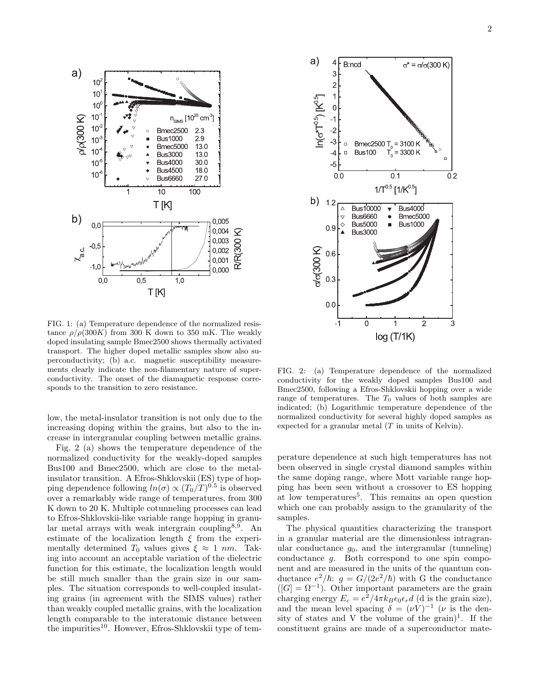

FIG. 1: (a) Temperature dependence of the normalized resistance  $\rho/\rho(300K)$  from 300 K down to 350 mK. The weakly doped insulating sample Bmec2500 shows thermally activated transport. The higher doped metallic samples show also superconductivity; (b) a.c. magnetic susceptibility measurements clearly indicate the non-filamentary nature of superconductivity. The onset of the diamagnetic response corresponds to the transition to zero resistance.

low, the metal-insulator transition is not only due to the increasing doping within the grains, but also to the increase in intergranular coupling between metallic grains.

Fig. 2 (a) shows the temperature dependence of the normalized conductivity for the weakly-doped samples Bus100 and Bmec2500, which are close to the metalinsulator transition. A Efros-Shklovskii (ES) type of hopping dependence following  $ln(\sigma) \propto (T_0/T)^{0.5}$  is observed over a remarkably wide range of temperatures, from 300 K down to 20 K. Multiple cotunneling processes can lead to Efros-Shklovskii-like variable range hopping in granular metal arrays with weak intergrain coupling<sup>8,9</sup>. An estimate of the localization length  $\xi$  from the experimentally determined  $T_0$  values gives  $\xi \approx 1$  nm. Taking into account an acceptable variation of the dielectric function for this estimate, the localization length would be still much smaller than the grain size in our samples. The situation corresponds to well-coupled insulating grains (in agreement with the SIMS values) rather than weakly coupled metallic grains, with the localization length comparable to the interatomic distance between the impurities<sup>10</sup>. However, Efros-Shklovskii type of tem-



FIG. 2: (a) Temperature dependence of the normalized conductivity for the weakly doped samples Bus100 and Bmec2500, following a Efros-Shklovskii hopping over a wide range of temperatures. The  $T_0$  values of both samples are indicated; (b) Logarithmic temperature dependence of the normalized conductivity for several highly doped samples as expected for a granular metal  $(T \text{ in units of Kelvin}).$ 

perature dependence at such high temperatures has not been observed in single crystal diamond samples within the same doping range, where Mott variable range hopping has been seen without a crossover to ES hopping at low temperatures<sup>5</sup> . This remains an open question which one can probably assign to the granularity of the samples.

The physical quantities characterizing the transport in a granular material are the dimensionless intragranular conductance  $g_0$ , and the intergranular (tunneling) conductance g. Both correspond to one spin component and are measured in the units of the quantum conductance  $e^2/\hbar$ :  $g = G/(2e^2/\hbar)$  with G the conductance  $([G] = \Omega^{-1})$ . Other important parameters are the grain charging energy  $E_c = e^2/4\pi k_B \epsilon_0 \epsilon_r d$  (d is the grain size), and the mean level spacing  $\delta = (\nu \dot{V})^{-1}$  ( $\nu$  is the density of states and V the volume of the grain)<sup>1</sup>. If the constituent grains are made of a superconductor mate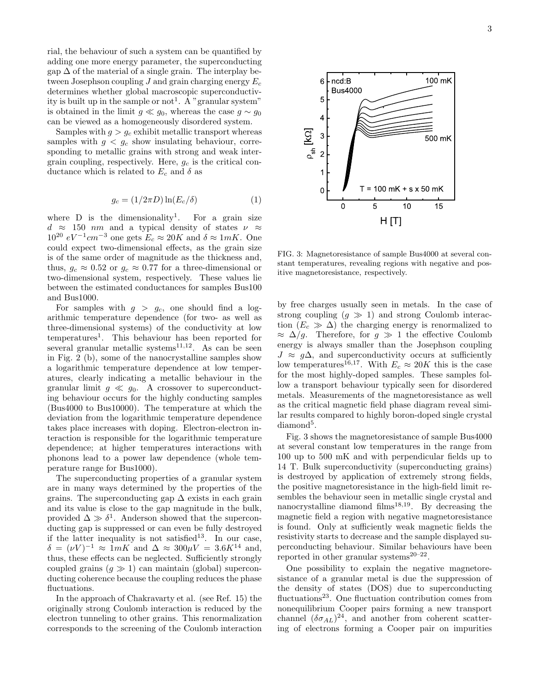rial, the behaviour of such a system can be quantified by adding one more energy parameter, the superconducting gap  $\Delta$  of the material of a single grain. The interplay between Josephson coupling  $J$  and grain charging energy  $E_c$ determines whether global macroscopic superconductivity is built up in the sample or not<sup>1</sup>. A "granular system" is obtained in the limit  $g \ll g_0$ , whereas the case  $g \sim g_0$ can be viewed as a homogeneously disordered system.

Samples with  $g > g_c$  exhibit metallic transport whereas samples with  $g < g_c$  show insulating behaviour, corresponding to metallic grains with strong and weak intergrain coupling, respectively. Here,  $g_c$  is the critical conductance which is related to  $E_c$  and  $\delta$  as

$$
g_c = (1/2\pi D)\ln(E_c/\delta)
$$
 (1)

where  $D$  is the dimensionality<sup>1</sup>. . For a grain size  $d \approx 150$  nm and a typical density of states  $\nu \approx$  $10^{20} eV^{-1}cm^{-3}$  one gets  $E_c \approx 20K$  and  $\delta \approx 1mK$ . One could expect two-dimensional effects, as the grain size is of the same order of magnitude as the thickness and, thus,  $g_c \approx 0.52$  or  $g_c \approx 0.77$  for a three-dimensional or two-dimensional system, respectively. These values lie between the estimated conductances for samples Bus100 and Bus1000.

For samples with  $g > g_c$ , one should find a logarithmic temperature dependence (for two- as well as three-dimensional systems) of the conductivity at low temperatures<sup>1</sup> . This behaviour has been reported for several granular metallic systems $^{11,12}$ . As can be seen in Fig. 2 (b), some of the nanocrystalline samples show a logarithmic temperature dependence at low temperatures, clearly indicating a metallic behaviour in the granular limit  $g \ll g_0$ . A crossover to superconducting behaviour occurs for the highly conducting samples (Bus4000 to Bus10000). The temperature at which the deviation from the logarithmic temperature dependence takes place increases with doping. Electron-electron interaction is responsible for the logarithmic temperature dependence; at higher temperatures interactions with phonons lead to a power law dependence (whole temperature range for Bus1000).

The superconducting properties of a granular system are in many ways determined by the properties of the grains. The superconducting gap  $\Delta$  exists in each grain and its value is close to the gap magnitude in the bulk, provided  $\Delta \gg \delta^1$ . Anderson showed that the superconducting gap is suppressed or can even be fully destroyed if the latter inequality is not satisfied<sup>13</sup>. In our case,  $\delta = (\nu V)^{-1} \approx \overline{1mK}$  and  $\Delta \approx 300 \mu V = 3.6 K^{14}$  and, thus, these effects can be neglected. Sufficiently strongly coupled grains  $(q \gg 1)$  can maintain (global) superconducting coherence because the coupling reduces the phase fluctuations.

In the approach of Chakravarty et al. (see Ref. 15) the originally strong Coulomb interaction is reduced by the electron tunneling to other grains. This renormalization corresponds to the screening of the Coulomb interaction



FIG. 3: Magnetoresistance of sample Bus4000 at several constant temperatures, revealing regions with negative and positive magnetoresistance, respectively.

by free charges usually seen in metals. In the case of strong coupling  $(g \gg 1)$  and strong Coulomb interaction  $(E_c \gg \Delta)$  the charging energy is renormalized to  $\approx \Delta/g$ . Therefore, for  $g \gg 1$  the effective Coulomb energy is always smaller than the Josephson coupling  $J \approx g\Delta$ , and superconductivity occurs at sufficiently low temperatures<sup>16,17</sup>. With  $E_c \approx 20K$  this is the case for the most highly-doped samples. These samples follow a transport behaviour typically seen for disordered metals. Measurements of the magnetoresistance as well as the critical magnetic field phase diagram reveal similar results compared to highly boron-doped single crystal  $diamond<sup>5</sup>$ .

Fig. 3 shows the magnetoresistance of sample Bus4000 at several constant low temperatures in the range from 100 up to 500 mK and with perpendicular fields up to 14 T. Bulk superconductivity (superconducting grains) is destroyed by application of extremely strong fields, the positive magnetoresistance in the high-field limit resembles the behaviour seen in metallic single crystal and nanocrystalline diamond films<sup>18,19</sup>. By decreasing the magnetic field a region with negative magnetoresistance is found. Only at sufficiently weak magnetic fields the resistivity starts to decrease and the sample displayed superconducting behaviour. Similar behaviours have been reported in other granular systems $20-22$ .

One possibility to explain the negative magnetoresistance of a granular metal is due the suppression of the density of states (DOS) due to superconducting fluctuations<sup>23</sup>. One fluctuation contribution comes from nonequilibrium Cooper pairs forming a new transport channel  $(\delta \sigma_{AL})^{24}$ , and another from coherent scattering of electrons forming a Cooper pair on impurities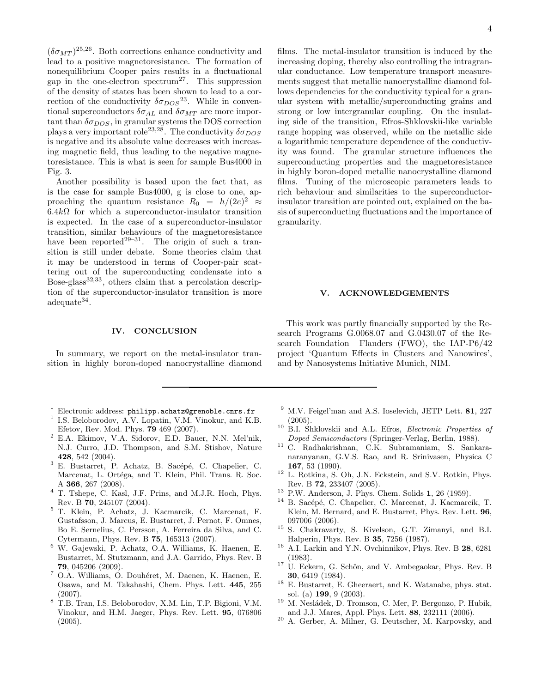$(\delta \sigma_{MT})^{25,26}$ . Both corrections enhance conductivity and lead to a positive magnetoresistance. The formation of nonequilibrium Cooper pairs results in a fluctuational gap in the one-electron spectrum<sup>27</sup>. This suppression of the density of states has been shown to lead to a correction of the conductivity  $\delta \sigma_{DOS}^{23}$ . While in conventional superconductors  $\delta \sigma_{AL}$  and  $\delta \sigma_{MT}$  are more important than  $\delta \sigma_{DOS}$ , in granular systems the DOS correction plays a very important role<sup>23,28</sup>. The conductivity  $\delta \sigma_{DOS}$ is negative and its absolute value decreases with increasing magnetic field, thus leading to the negative magnetoresistance. This is what is seen for sample Bus4000 in Fig. 3.

Another possibility is based upon the fact that, as is the case for sample Bus4000, g is close to one, approaching the quantum resistance  $R_0 = h/(2e)^2 \approx$  $6.4k\Omega$  for which a superconductor-insulator transition is expected. In the case of a superconductor-insulator transition, similar behaviours of the magnetoresistance have been reported<sup>29–31</sup>. The origin of such a transition is still under debate. Some theories claim that it may be understood in terms of Cooper-pair scattering out of the superconducting condensate into a Bose-glass<sup>32,33</sup>, others claim that a percolation description of the superconductor-insulator transition is more adequate<sup>34</sup> .

# IV. CONCLUSION

In summary, we report on the metal-insulator transition in highly boron-doped nanocrystalline diamond

- <sup>∗</sup> Electronic address: philipp.achatz@grenoble.cnrs.fr
- 1 I.S. Beloborodov, A.V. Lopatin, V.M. Vinokur, and K.B. Efetov, Rev. Mod. Phys. 79 469 (2007).
- <sup>2</sup> E.A. Ekimov, V.A. Sidorov, E.D. Bauer, N.N. Mel'nik, N.J. Curro, J.D. Thompson, and S.M. Stishov, Nature 428, 542 (2004).
- <sup>3</sup> E. Bustarret, P. Achatz, B. Sacépé, C. Chapelier, C. Marcenat, L. Ortéga, and T. Klein, Phil. Trans. R. Soc. A 366, 267 (2008).
- <sup>4</sup> T. Tshepe, C. Kasl, J.F. Prins, and M.J.R. Hoch, Phys. Rev. B 70, 245107 (2004).
- <sup>5</sup> T. Klein, P. Achatz, J. Kacmarcik, C. Marcenat, F. Gustafsson, J. Marcus, E. Bustarret, J. Pernot, F. Omnes, Bo E. Sernelius, C. Persson, A. Ferreira da Silva, and C. Cytermann, Phys. Rev. B 75, 165313 (2007).
- <sup>6</sup> W. Gajewski, P. Achatz, O.A. Williams, K. Haenen, E. Bustarret, M. Stutzmann, and J.A. Garrido, Phys. Rev. B 79, 045206 (2009).
- <sup>7</sup> O.A. Williams, O. Douhéret, M. Daenen, K. Haenen, E. Osawa, and M. Takahashi, Chem. Phys. Lett. 445, 255 (2007).
- <sup>8</sup> T.B. Tran, I.S. Beloborodov, X.M. Lin, T.P. Bigioni, V.M. Vinokur, and H.M. Jaeger, Phys. Rev. Lett. 95, 076806 (2005).

films. The metal-insulator transition is induced by the increasing doping, thereby also controlling the intragranular conductance. Low temperature transport measurements suggest that metallic nanocrystalline diamond follows dependencies for the conductivity typical for a granular system with metallic/superconducting grains and strong or low intergranular coupling. On the insulating side of the transition, Efros-Shklovskii-like variable range hopping was observed, while on the metallic side a logarithmic temperature dependence of the conductivity was found. The granular structure influences the superconducting properties and the magnetoresistance in highly boron-doped metallic nanocrystalline diamond films. Tuning of the microscopic parameters leads to rich behaviour and similarities to the superconductorinsulator transition are pointed out, explained on the basis of superconducting fluctuations and the importance of granularity.

### **ACKNOWLEDGEMENTS**

This work was partly financially supported by the Research Programs G.0068.07 and G.0430.07 of the Research Foundation Flanders (FWO), the IAP-P6/42 project 'Quantum Effects in Clusters and Nanowires', and by Nanosystems Initiative Munich, NIM.

- $9$  M.V. Feigel'man and A.S. Ioselevich, JETP Lett. 81, 227 (2005).
- <sup>10</sup> B.I. Shklovskii and A.L. Efros, *Electronic Properties of* Doped Semiconductors (Springer-Verlag, Berlin, 1988).
- <sup>11</sup> C. Radhakrishnan, C.K. Subramaniam, S. Sankaranaranyanan, G.V.S. Rao, and R. Srinivasen, Physica C 167, 53 (1990).
- <sup>12</sup> L. Rotkina, S. Oh, J.N. Eckstein, and S.V. Rotkin, Phys. Rev. B 72, 233407 (2005).
- <sup>13</sup> P.W. Anderson, J. Phys. Chem. Solids 1, 26 (1959).
- <sup>14</sup> B. Sacépé, C. Chapelier, C. Marcenat, J. Kacmarcik, T. Klein, M. Bernard, and E. Bustarret, Phys. Rev. Lett. 96, 097006 (2006).
- <sup>15</sup> S. Chakravarty, S. Kivelson, G.T. Zimanyi, and B.I. Halperin, Phys. Rev. B 35, 7256 (1987).
- <sup>16</sup> A.I. Larkin and Y.N. Ovchinnikov, Phys. Rev. B 28, 6281 (1983).
- $17$  U. Eckern, G. Schön, and V. Ambegaokar, Phys. Rev. B 30, 6419 (1984).
- <sup>18</sup> E. Bustarret, E. Gheeraert, and K. Watanabe, phys. stat. sol. (a) 199, 9 (2003).
- <sup>19</sup> M. Nesládek, D. Tromson, C. Mer, P. Bergonzo, P. Hubik, and J.J. Mares, Appl. Phys. Lett. 88, 232111 (2006).
- <sup>20</sup> A. Gerber, A. Milner, G. Deutscher, M. Karpovsky, and